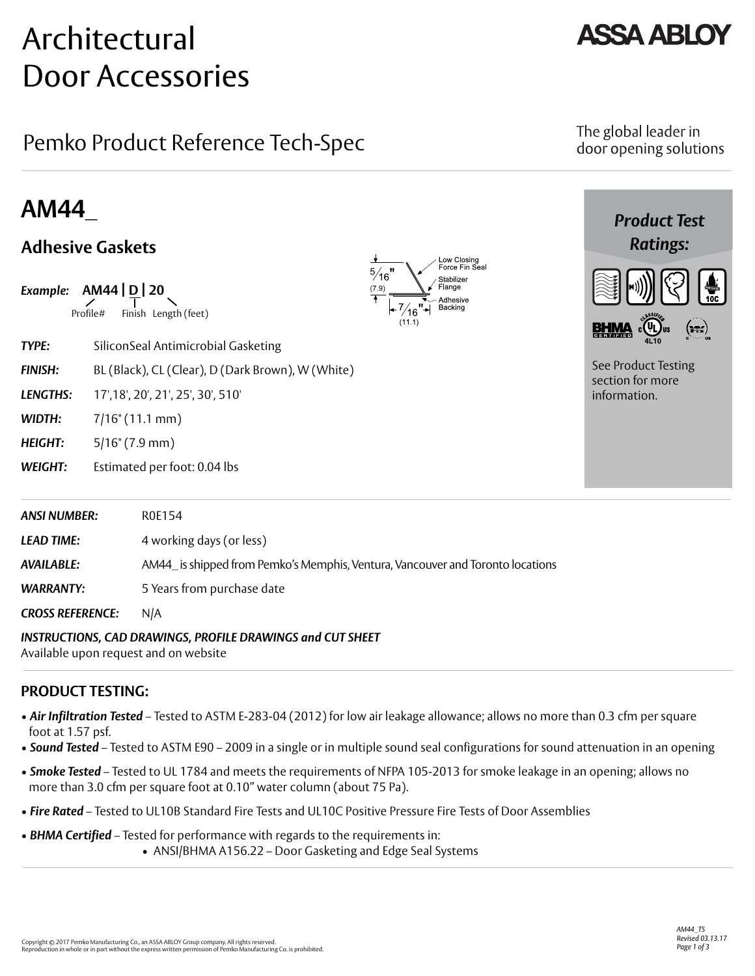# Architectural Door Accessories

## Pemko Product Reference Tech-Spec

## **AM44**\_

## **Adhesive Gaskets**



*AVAILABLE:* AM44\_ is shipped from Pemko's Memphis, Ventura, Vancouver and Toronto locations

*WARRANTY:* 5 Years from purchase date

*CROSS REFERENCE:* N/A

### *INSTRUCTIONS, CAD DRAWINGS, PROFILE DRAWINGS and CUT SHEET*

Available upon request and on website

### **PRODUCT TESTING:**

- *Air Infiltration Tested* Tested to ASTM E-283-04 (2012) for low air leakage allowance; allows no more than 0.3 cfm per square foot at 1.57 psf.
- *Sound Tested* Tested to ASTM E90 2009 in a single or in multiple sound seal configurations for sound attenuation in an opening
- *Smoke Tested* Tested to UL 1784 and meets the requirements of NFPA 105-2013 for smoke leakage in an opening; allows no more than 3.0 cfm per square foot at 0.10" water column (about 75 Pa).
- *Fire Rated*  Tested to UL10B Standard Fire Tests and UL10C Positive Pressure Fire Tests of Door Assemblies
- *BHMA Certified*  Tested for performance with regards to the requirements in: • ANSI/BHMA A156.22 – Door Gasketing and Edge Seal Systems



### The global leader in door opening solutions

*Product Test Ratings:*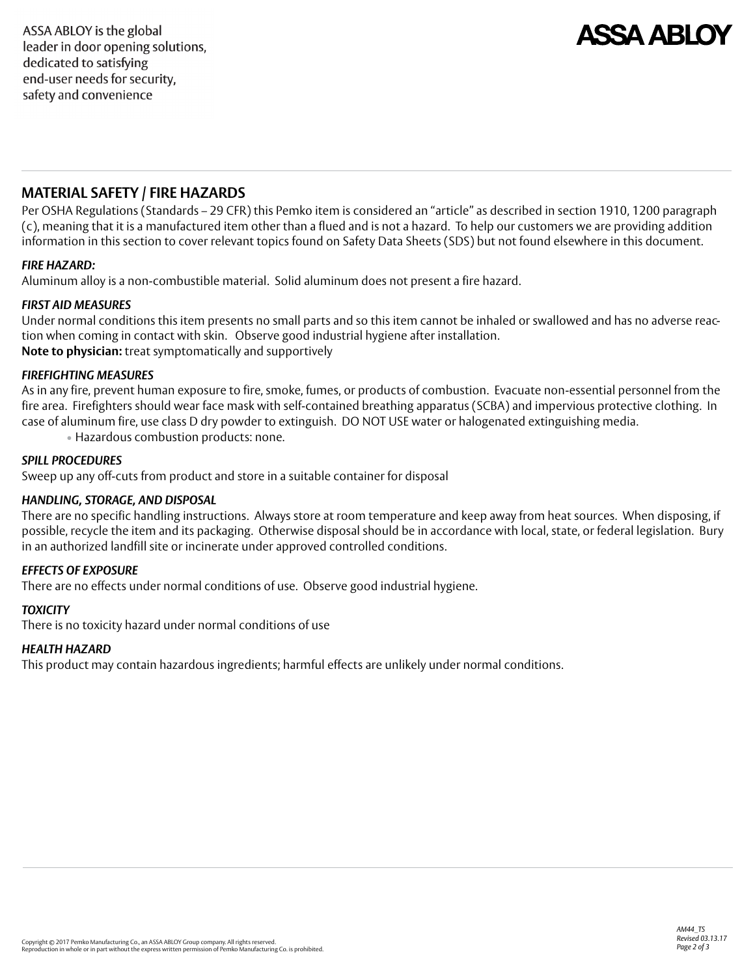## **ASSA ARI O**

### **MATERIAL SAFETY / FIRE HAZARDS**

Per OSHA Regulations (Standards – 29 CFR) this Pemko item is considered an "article" as described in section 1910, 1200 paragraph (c), meaning that it is a manufactured item other than a flued and is not a hazard. To help our customers we are providing addition information in this section to cover relevant topics found on Safety Data Sheets (SDS) but not found elsewhere in this document.

#### *FIRE HAZARD:*

Aluminum alloy is a non-combustible material. Solid aluminum does not present a fire hazard.

#### *FIRST AID MEASURES*

Under normal conditions this item presents no small parts and so this item cannot be inhaled or swallowed and has no adverse reaction when coming in contact with skin. Observe good industrial hygiene after installation. **Note to physician:** treat symptomatically and supportively

#### *FIREFIGHTING MEASURES*

As in any fire, prevent human exposure to fire, smoke, fumes, or products of combustion. Evacuate non-essential personnel from the fire area. Firefighters should wear face mask with self-contained breathing apparatus (SCBA) and impervious protective clothing. In case of aluminum fire, use class D dry powder to extinguish. DO NOT USE water or halogenated extinguishing media.

• Hazardous combustion products: none.

#### *SPILL PROCEDURES*

Sweep up any off-cuts from product and store in a suitable container for disposal

#### *HANDLING, STORAGE, AND DISPOSAL*

There are no specific handling instructions. Always store at room temperature and keep away from heat sources. When disposing, if possible, recycle the item and its packaging. Otherwise disposal should be in accordance with local, state, or federal legislation. Bury in an authorized landfill site or incinerate under approved controlled conditions.

#### *EFFECTS OF EXPOSURE*

There are no effects under normal conditions of use. Observe good industrial hygiene.

#### *TOXICITY*

There is no toxicity hazard under normal conditions of use

#### *HEALTH HAZARD*

This product may contain hazardous ingredients; harmful effects are unlikely under normal conditions.